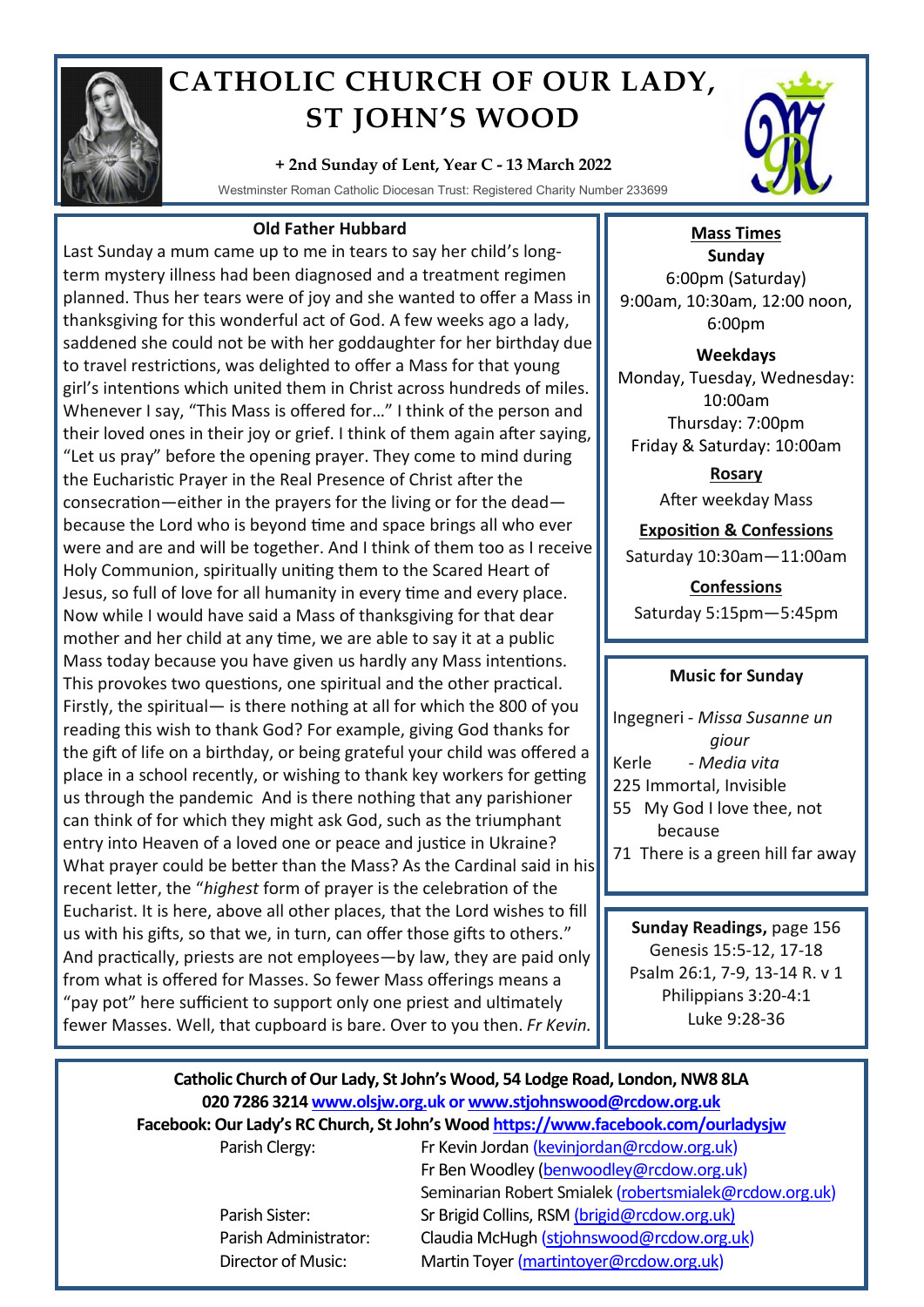

# **CATHOLIC CHURCH OF OUR LADY, ST JOHN'S WOOD**

**+ 2nd Sunday of Lent, Year C - 13 March 2022**

Westminster Roman Catholic Diocesan Trust: Registered Charity Number 233699

## **Old Father Hubbard**

Last Sunday a mum came up to me in tears to say her child's longterm mystery illness had been diagnosed and a treatment regimen planned. Thus her tears were of joy and she wanted to offer a Mass in thanksgiving for this wonderful act of God. A few weeks ago a lady, saddened she could not be with her goddaughter for her birthday due to travel restrictions, was delighted to offer a Mass for that young girl's intentions which united them in Christ across hundreds of miles. Whenever I say, "This Mass is offered for…" I think of the person and their loved ones in their joy or grief. I think of them again after saying, "Let us pray" before the opening prayer. They come to mind during the Eucharistic Prayer in the Real Presence of Christ after the consecration—either in the prayers for the living or for the dead because the Lord who is beyond time and space brings all who ever were and are and will be together. And I think of them too as I receive Holy Communion, spiritually uniting them to the Scared Heart of Jesus, so full of love for all humanity in every time and every place. Now while I would have said a Mass of thanksgiving for that dear mother and her child at any time, we are able to say it at a public Mass today because you have given us hardly any Mass intentions. This provokes two questions, one spiritual and the other practical. Firstly, the spiritual— is there nothing at all for which the 800 of you reading this wish to thank God? For example, giving God thanks for the gift of life on a birthday, or being grateful your child was offered a place in a school recently, or wishing to thank key workers for getting us through the pandemic And is there nothing that any parishioner can think of for which they might ask God, such as the triumphant entry into Heaven of a loved one or peace and justice in Ukraine? What prayer could be better than the Mass? As the Cardinal said in his recent letter, the "*highest* form of prayer is the celebration of the Eucharist. It is here, above all other places, that the Lord wishes to fill us with his gifts, so that we, in turn, can offer those gifts to others." And practically, priests are not employees—by law, they are paid only from what is offered for Masses. So fewer Mass offerings means a "pay pot" here sufficient to support only one priest and ultimately fewer Masses. Well, that cupboard is bare. Over to you then. *Fr Kevin.*



## **Mass Times**

**Sunday** 6:00pm (Saturday) 9:00am, 10:30am, 12:00 noon, 6:00pm

**Weekdays** Monday, Tuesday, Wednesday: 10:00am Thursday: 7:00pm Friday & Saturday: 10:00am

> **Rosary** After weekday Mass

**Exposition & Confessions** Saturday 10:30am—11:00am

**Confessions**  Saturday 5:15pm—5:45pm

## **Music for Sunday**

Ingegneri - *Missa Susanne un giour* Kerle - *Media vita* 225 Immortal, Invisible 55 My God I love thee, not because 71 There is a green hill far away

**Sunday Readings,** page 156 Genesis 15:5-12, 17-18 Psalm 26:1, 7-9, 13-14 R. v 1 Philippians 3:20-4:1 Luke 9:28-36

## **Catholic Church of Our Lady, St John's Wood, 54 Lodge Road, London, NW8 8LA 020 7286 3214 www.olsjw.org.uk or www.stjohnswood@rcdow.org.uk Facebook: Our Lady's RC Church, St John's Wood https://www.facebook.com/ourladysjw** Parish Clergy: Fr Kevin Jordan (kevinjordan@rcdow.org.uk)

Fr Ben Woodley (benwoodley@rcdow.org.uk) Seminarian Robert Smialek (robertsmialek@rcdow.org.uk) Parish Sister: Sr Brigid Collins, RSM (brigid@rcdow.org.uk) Parish Administrator: Claudia McHugh (stjohnswood@rcdow.org.uk) Director of Music: Martin Toyer (martintoyer@rcdow.org.uk)